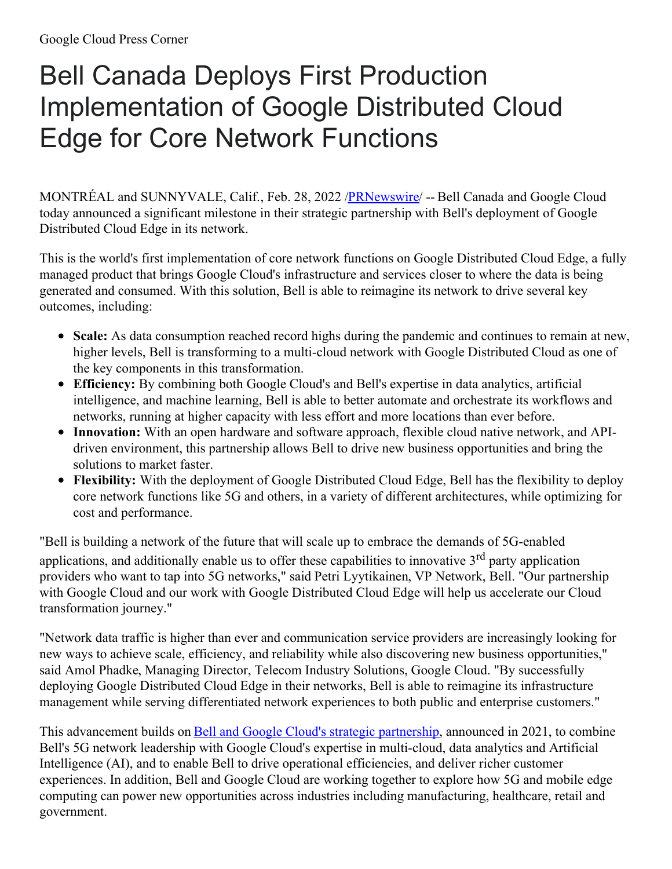## Bell Canada Deploys First Production Implementation of Google Distributed Cloud Edge for Core Network Functions

MONTRÉAL and SUNNYVALE, Calif., Feb. 28, 2022 [/PRNewswire/](http://www.prnewswire.com/) -- Bell Canada and Google Cloud today announced a significant milestone in their strategic partnership with Bell's deployment of Google Distributed Cloud Edge in its network.

This is the world's first implementation of core network functions on Google Distributed Cloud Edge, a fully managed product that brings Google Cloud's infrastructure and services closer to where the data is being generated and consumed. With this solution, Bell is able to reimagine its network to drive several key outcomes, including:

- **Scale:** As data consumption reached record highs during the pandemic and continues to remain at new, higher levels, Bell is transforming to a multi-cloud network with Google Distributed Cloud as one of the key components in this transformation.
- **Efficiency:** By combining both Google Cloud's and Bell's expertise in data analytics, artificial intelligence, and machine learning, Bell is able to better automate and orchestrate its workflows and networks, running at higher capacity with less effort and more locations than ever before.
- **Innovation:** With an open hardware and software approach, flexible cloud native network, and APIdriven environment, this partnership allows Bell to drive new business opportunities and bring the solutions to market faster.
- **Flexibility:** With the deployment of Google Distributed Cloud Edge, Bell has the flexibility to deploy core network functions like 5G and others, in a variety of different architectures, while optimizing for cost and performance.

"Bell is building a network of the future that will scale up to embrace the demands of 5G-enabled applications, and additionally enable us to offer these capabilities to innovative 3<sup>rd</sup> party application providers who want to tap into 5G networks," said Petri Lyytikainen, VP Network, Bell. "Our partnership with Google Cloud and our work with Google Distributed Cloud Edge will help us accelerate our Cloud transformation journey."

"Network data traffic is higher than ever and communication service providers are increasingly looking for new ways to achieve scale, efficiency, and reliability while also discovering new business opportunities," said Amol Phadke, Managing Director, Telecom Industry Solutions, Google Cloud. "By successfully deploying Google Distributed Cloud Edge in their networks, Bell is able to reimagine its infrastructure management while serving differentiated network experiences to both public and enterprise customers."

This advancement builds on Bell and Google Cloud's strategic [partnership](https://c212.net/c/link/?t=0&l=en&o=3456160-1&h=2855556830&u=https%3A%2F%2Fwww.googlecloudpresscorner.com%2F2021-07-15-Bell-Partners-with-Google-Cloud-to-Deliver-Next-Generation-Network-Experiences-for-Canadians&a=Bell+and+Google+Cloud%27s+strategic+partnership), announced in 2021, to combine Bell's 5G network leadership with Google Cloud's expertise in multi-cloud, data analytics and Artificial Intelligence (AI), and to enable Bell to drive operational efficiencies, and deliver richer customer experiences. In addition, Bell and Google Cloud are working together to explore how 5G and mobile edge computing can power new opportunities across industries including manufacturing, healthcare, retail and government.